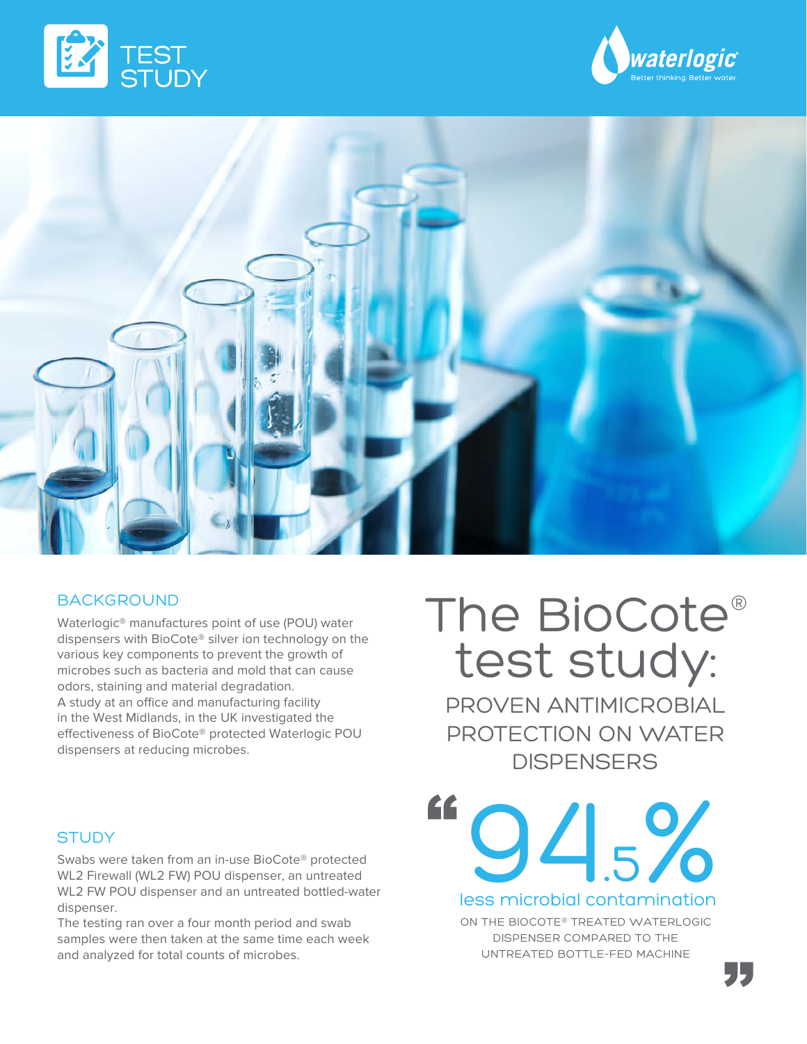





# BACKGROUND

Waterlogic® manufactures point of use (POU) water dispensers with BioCote® silver ion technology on the various key components to prevent the growth of microbes such as bacteria and mold that can cause odors, staining and material degradation. A study at an office and manufacturing facility in the West Midlands, in the UK investigated the effectiveness of BioCote® protected Waterlogic POU dispensers at reducing microbes.

## **STUDY**

Swabs were taken from an in-use BioCote® protected WL2 Firewall (WL2 FW) POU dispenser, an untreated WL2 FW POU dispenser and an untreated bottled-water dispenser.

The testing ran over a four month period and swab samples were then taken at the same time each week and analyzed for total counts of microbes.

# The BioCote® test study:

PROVEN ANTIMICROBIAL PROTECTION ON WATER **DISPENSERS** 

" 94.5% less microbial contamination

> ON THE BIOCOTE® TREATED WATERLOGIC DISPENSER COMPARED TO THE UNTREATED BOTTLE-FED MACHINE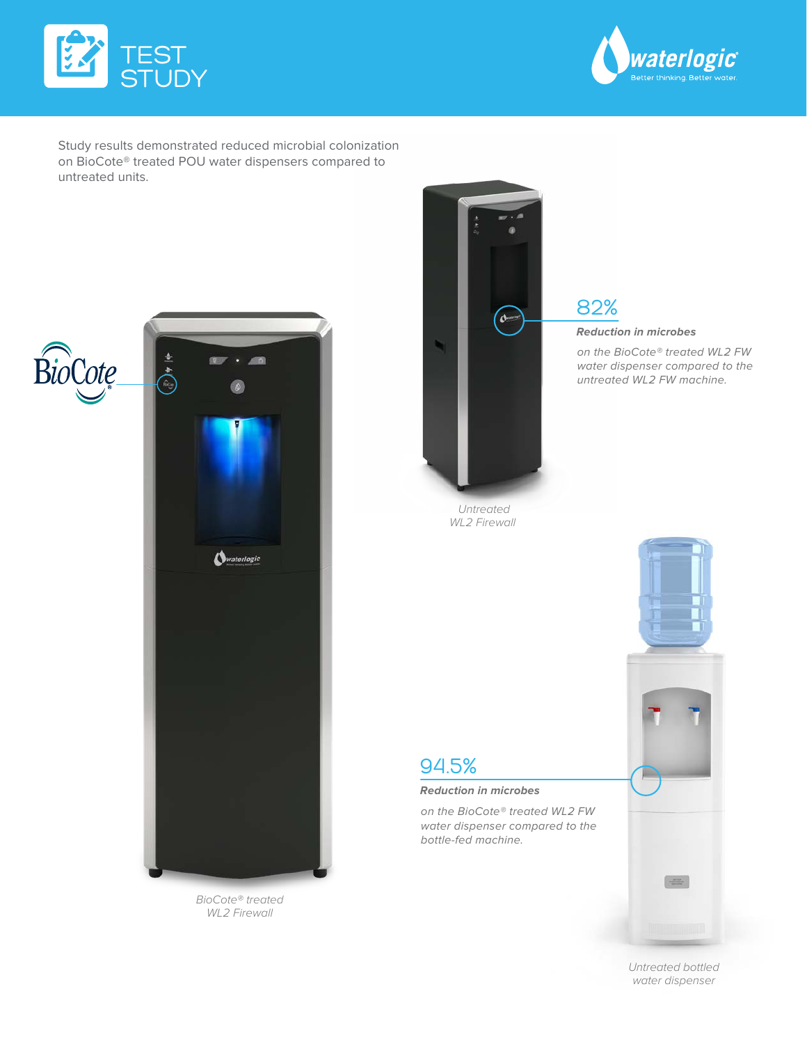



Study results demonstrated reduced microbial colonization on BioCote® treated POU water dispensers compared to untreated units.





*BioCote® treated WL2 Firewall*



*Untreated WL2 Firewall* 

# 82%

**Reduction in microbes** 

on the BioCote® treated WL2 FW water dispenser compared to the untreated WL2 FW machine.

# 94.5%

### **Reduction in microbes**

on the BioCote® treated WL2 FW water dispenser compared to the bottle-fed machine.



 $\frac{1}{\sqrt{2}}$